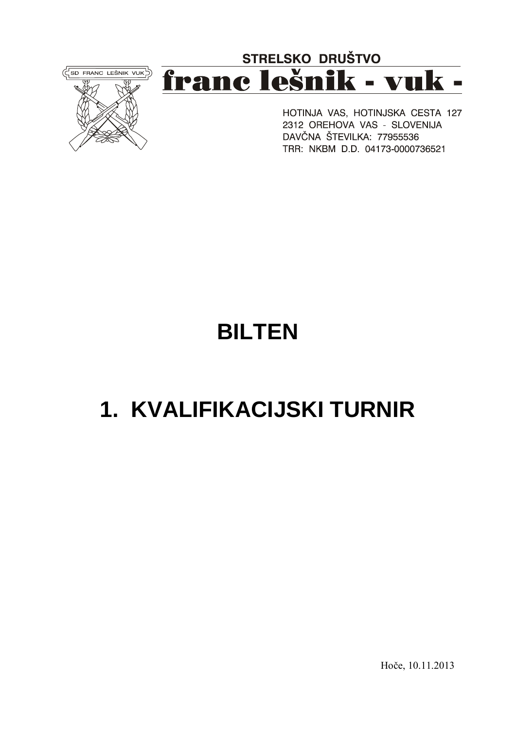(SD FRANC LEŠNIK VUK)

# STRELSKO DRUŠTVO franc lešnik - vuk -

HOTINJA VAS, HOTINJSKA CESTA 127 2312 OREHOVA VAS - SLOVENIJA DAVČNA ŠTEVILKA: 77955536 TRR: NKBM D.D. 04173-0000736521

# **BILTEN**

# **1. KVALIFIKACIJSKI TURNIR**

Hoče, 10.11.2013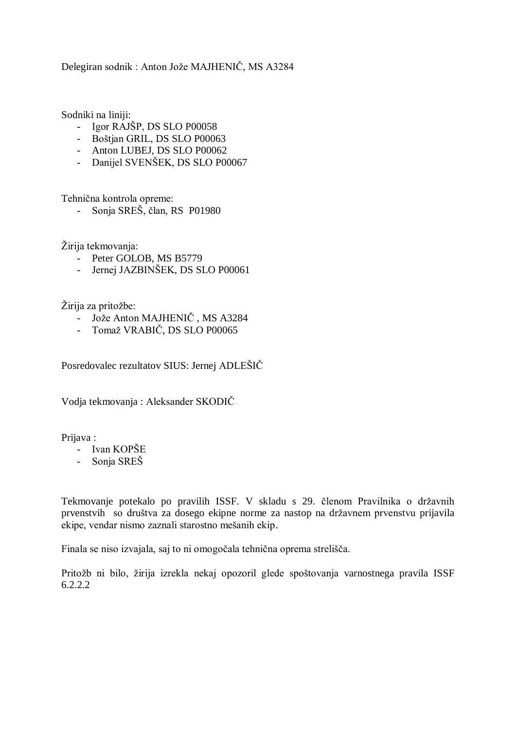Delegiran sodnik : Anton Jože MAJHENIČ, MS A3284

Sodniki na liniji:

- Igor RAJŠP, DS SLO P00058
- Boštjan GRIL, DS SLO P00063
- Anton LUBEJ, DS SLO P00062
- Danijel SVENŠEK, DS SLO P00067

Tehnična kontrola opreme:

- Sonja SREŠ, član, RS P01980

Žirija tekmovanja:

- Peter GOLOB, MS B5779
- Jernej JAZBINŠEK, DS SLO P00061

Žirija za pritožbe:

- Jože Anton MAJHENIČ, MS A3284
- Tomaž VRABIČ, DS SLO P00065

Posredovalec rezultatov SIUS: Jernej ADLEŠIČ

Vodja tekmovanja : Aleksander SKODIČ

Prijava :

- Ivan KOPŠE
- Sonja SREŠ

Tekmovanje potekalo po pravilih ISSF. V skladu s 29. členom Pravilnika o državnih prvenstvih so društva za dosego ekipne norme za nastop na državnem prvenstvu prijavila ekipe, vendar nismo zaznali starostno mešanih ekip.

Finala se niso izvajala, saj to ni omogočala tehnična oprema strelišča.

Pritožb ni bilo, žirija izrekla nekaj opozoril glede spoštovanja varnostnega pravila ISSF 6.2.2.2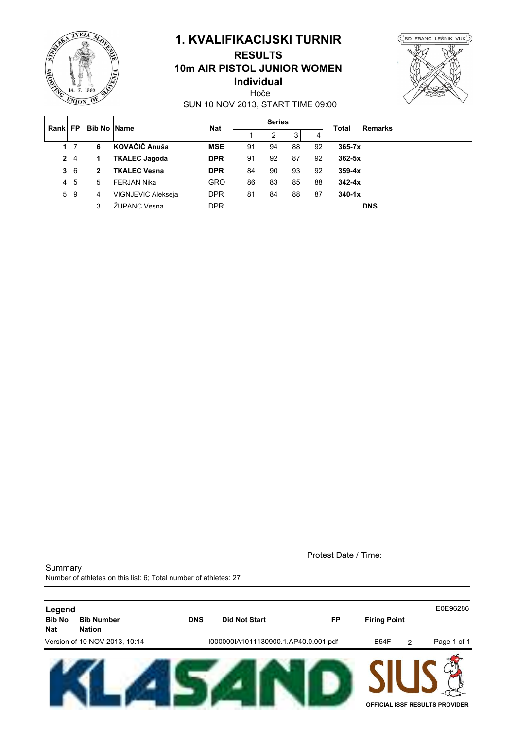

#### **Individual 10m AIR PISTOL JUNIOR WOMEN RESULTS**





SUN 10 NOV 2013, START TIME 09:00

| Rankl | <b>FP</b>        | <b>Bib No IName</b> |                      | <b>Nat</b> |    | <b>Series</b> |                |    | Total      | <b>Remarks</b> |
|-------|------------------|---------------------|----------------------|------------|----|---------------|----------------|----|------------|----------------|
|       |                  |                     |                      |            |    | 2             | 3 <sup>1</sup> | 4  |            |                |
|       | $1 \overline{7}$ | 6                   | KOVAČIČ Anuša        | <b>MSE</b> | 91 | 94            | 88             | 92 | $365 - 7x$ |                |
|       | 24               | 1                   | <b>TKALEC Jagoda</b> | <b>DPR</b> | 91 | 92            | 87             | 92 | $362 - 5x$ |                |
|       | 36               | $\mathbf{2}$        | <b>TKALEC Vesna</b>  | <b>DPR</b> | 84 | 90            | 93             | 92 | $359 - 4x$ |                |
| 4     | - 5              | 5                   | FERJAN Nika          | <b>GRO</b> | 86 | 83            | 85             | 88 | $342 - 4x$ |                |
|       | 5 9              | 4                   | VIGNJEVIČ Alekseja   | <b>DPR</b> | 81 | 84            | 88             | 87 | $340 - 1x$ |                |
|       |                  | 3                   | ŽUPANC Vesna         | <b>DPR</b> |    |               |                |    |            | <b>DNS</b>     |

Protest Date / Time:



**Summary** 

**TVEZA** 

UNION OF

Number of athletes on this list: 6; Total number of athletes: 27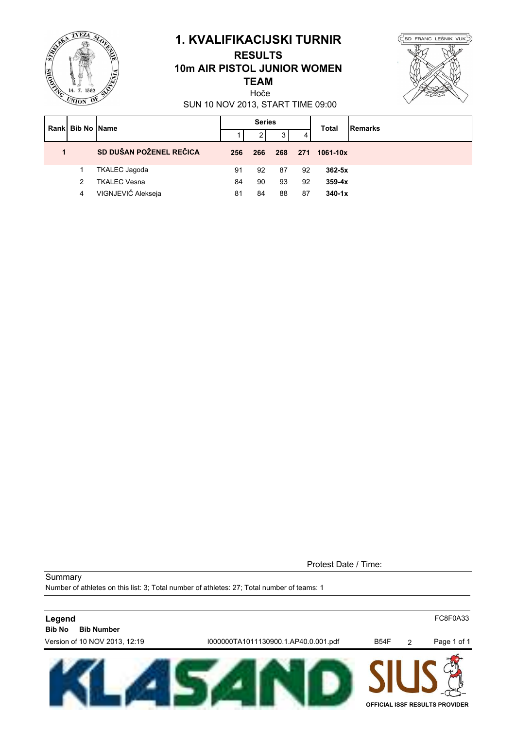

## **1. KVALIFIKACIJSKI TURNIR**

#### **TEAM 10m AIR PISTOL JUNIOR WOMEN RESULTS**





SUN 10 NOV 2013, START TIME 09:00

| Rank | <b>Bib No Name</b> |                         |     | <b>Series</b> |     |     | <b>Total</b> | <b>Remarks</b> |
|------|--------------------|-------------------------|-----|---------------|-----|-----|--------------|----------------|
|      |                    |                         |     | 2             | 3   | 4   |              |                |
| 1    |                    | SD DUŠAN POŽENEL REČICA | 256 | 266           | 268 | 271 | 1061-10x     |                |
|      |                    | <b>TKALEC Jagoda</b>    | 91  | 92            | 87  | 92  | $362 - 5x$   |                |
|      | $\mathcal{P}$      | <b>TKALEC Vesna</b>     | 84  | 90            | 93  | 92  | $359-4x$     |                |
|      | 4                  | VIGNJEVIČ Alekseja      | 81  | 84            | 88  | 87  | $340 - 1x$   |                |

Protest Date / Time:

**Summary** Number of athletes on this list: 3; Total number of athletes: 27; Total number of teams: 1

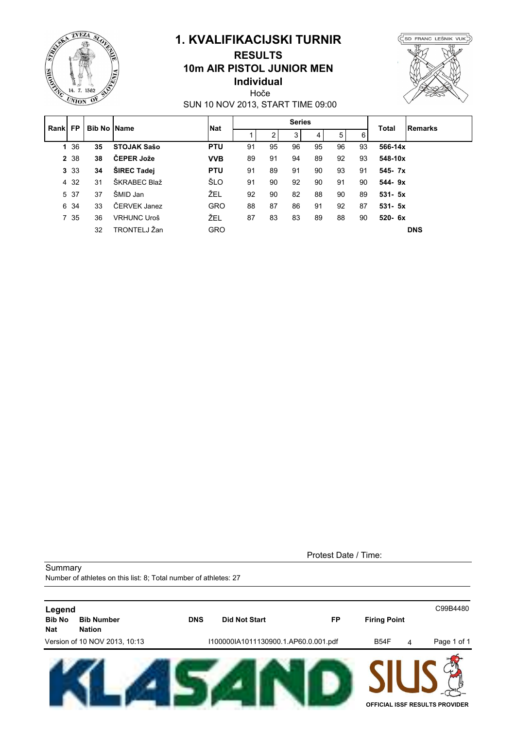

#### **Individual 10m AIR PISTOL JUNIOR MEN RESULTS**



Hoče

| <b>Rank</b> | <b>FP</b> | <b>Bib No IName</b> |                    | <b>Nat</b> |    |    | <b>Series</b> |    |    |    | <b>Total</b> | Remarks    |
|-------------|-----------|---------------------|--------------------|------------|----|----|---------------|----|----|----|--------------|------------|
|             |           |                     |                    |            |    | 2  | 3             | 4  | 5  | 6  |              |            |
|             | 1 36      | 35                  | <b>STOJAK Sašo</b> | <b>PTU</b> | 91 | 95 | 96            | 95 | 96 | 93 | 566-14x      |            |
|             | 2 38      | 38                  | ČEPER Jože         | <b>VVB</b> | 89 | 91 | 94            | 89 | 92 | 93 | 548-10x      |            |
|             | 3 3 3     | 34                  | <b>ŠIREC Tadej</b> | <b>PTU</b> | 91 | 89 | 91            | 90 | 93 | 91 | 545-7x       |            |
|             | 4 3 2     | 31                  | ŠKRABEC Blaž       | ŠLO        | 91 | 90 | 92            | 90 | 91 | 90 | 544-9x       |            |
|             | 5 37      | 37                  | ŠMID Jan           | ŽEL        | 92 | 90 | 82            | 88 | 90 | 89 | $531 - 5x$   |            |
|             | 6 34      | 33                  | ČERVEK Janez       | <b>GRO</b> | 88 | 87 | 86            | 91 | 92 | 87 | $531 - 5x$   |            |
|             | 7 35      | 36                  | <b>VRHUNC Uroš</b> | ŽEL        | 87 | 83 | 83            | 89 | 88 | 90 | $520 - 6x$   |            |
|             |           | 32                  | TRONTELJ Žan       | <b>GRO</b> |    |    |               |    |    |    |              | <b>DNS</b> |

SUN 10 NOV 2013, START TIME 09:00

Protest Date / Time:

**Legend** C99B4480 **Bib No Bib Number DNS Did Not Start FP Firing Point Nat Nation** Version of 10 NOV 2013, 10:13 I100000IA1011130900.1.AP60.0.001.pdf B54F 4 Page 1 of 1 52 **OFFICIAL ISSF RESULTS PROVIDER**



**Summary** 

Number of athletes on this list: 8; Total number of athletes: 27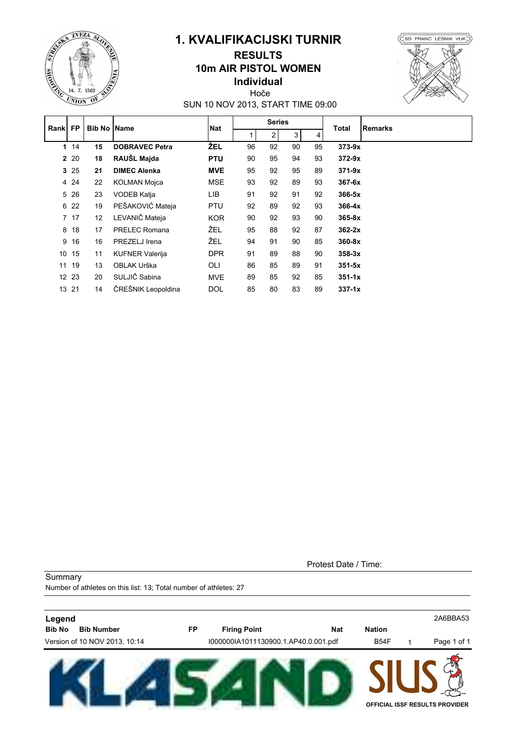

# **1. KVALIFIKACIJSKI TURNIR**

#### **Individual 10m AIR PISTOL WOMEN RESULTS**



SUN 10 NOV 2013, START TIME 09:00 Hoče

| Rankl | <b>FP</b> | <b>Bib No IName</b> |                        | <b>Nat</b> |    | <b>Series</b>  |    |    | Total      | <b>Remarks</b> |
|-------|-----------|---------------------|------------------------|------------|----|----------------|----|----|------------|----------------|
|       |           |                     |                        |            |    | $\overline{a}$ | 3  | 4  |            |                |
|       | 1114      | 15                  | <b>DOBRAVEC Petra</b>  | ŽEL        | 96 | 92             | 90 | 95 | $373-9x$   |                |
|       | 2 20      | 18                  | RAUŠL Majda            | <b>PTU</b> | 90 | 95             | 94 | 93 | $372-9x$   |                |
|       | 325       | 21                  | <b>DIMEC Alenka</b>    | <b>MVE</b> | 95 | 92             | 95 | 89 | $371-9x$   |                |
|       | 4 24      | 22                  | <b>KOLMAN Mojca</b>    | <b>MSE</b> | 93 | 92             | 89 | 93 | $367 - 6x$ |                |
|       | 5 26      | 23                  | <b>VODEB Katja</b>     | LIB        | 91 | 92             | 91 | 92 | $366-5x$   |                |
|       | 6 22      | 19                  | PEŠAKOVIĆ Mateja       | <b>PTU</b> | 92 | 89             | 92 | 93 | $366-4x$   |                |
|       | 7 17      | 12                  | LEVANIČ Mateja         | <b>KOR</b> | 90 | 92             | 93 | 90 | $365-8x$   |                |
| 8     | 18        | 17                  | <b>PRELEC Romana</b>   | ŽEL        | 95 | 88             | 92 | 87 | $362 - 2x$ |                |
| 9     | 16        | 16                  | PREZELJ Irena          | ŽEL        | 94 | 91             | 90 | 85 | $360-8x$   |                |
| 10    | 15        | 11                  | <b>KUFNER Valerija</b> | <b>DPR</b> | 91 | 89             | 88 | 90 | $358-3x$   |                |
|       | 11 19     | 13                  | OBLAK Urška            | OLI        | 86 | 85             | 89 | 91 | $351 - 5x$ |                |
|       | 12 23     | 20                  | SULJIČ Sabina          | <b>MVE</b> | 89 | 85             | 92 | 85 | $351 - 1x$ |                |
| 13    | 21        | 14                  | ČREŠNIK Leopoldina     | DOL        | 85 | 80             | 83 | 89 | $337 - 1x$ |                |

Protest Date / Time:

**Summary** Number of athletes on this list: 13; Total number of athletes: 27

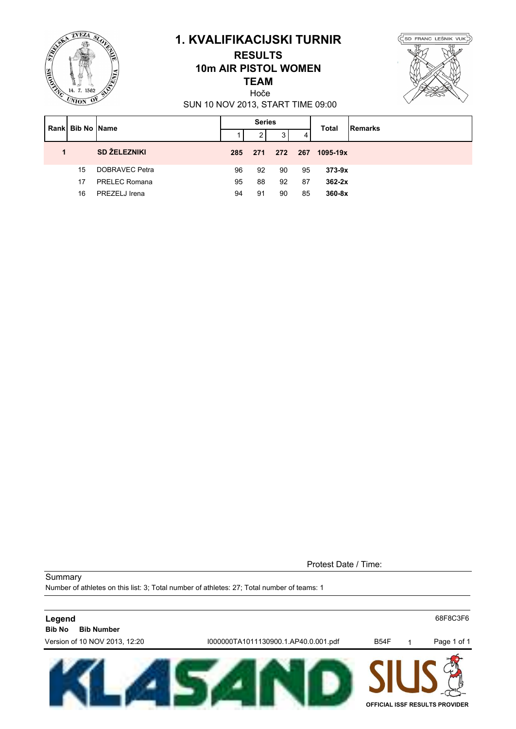

#### **10m AIR PISTOL WOMEN RESULTS**

#### **TEAM**

Hoče



SUN 10 NOV 2013, START TIME 09:00

| Rankl | <b>Bib No Name</b> |                     |     | <b>Series</b> |     |     | Total    | <b>Remarks</b> |
|-------|--------------------|---------------------|-----|---------------|-----|-----|----------|----------------|
|       |                    |                     |     | 2             | 3   | 4   |          |                |
| 1     |                    | <b>SD ŽELEZNIKI</b> | 285 | 271           | 272 | 267 | 1095-19x |                |
|       | 15                 | DOBRAVEC Petra      | 96  | 92            | 90  | 95  | $373-9x$ |                |
|       | 17                 | PRELEC Romana       | 95  | 88            | 92  | 87  | $362-2x$ |                |
|       | 16                 | PREZELJ Irena       | 94  | 91            | 90  | 85  | $360-8x$ |                |

Protest Date / Time:

**Summary** Number of athletes on this list: 3; Total number of athletes: 27; Total number of teams: 1



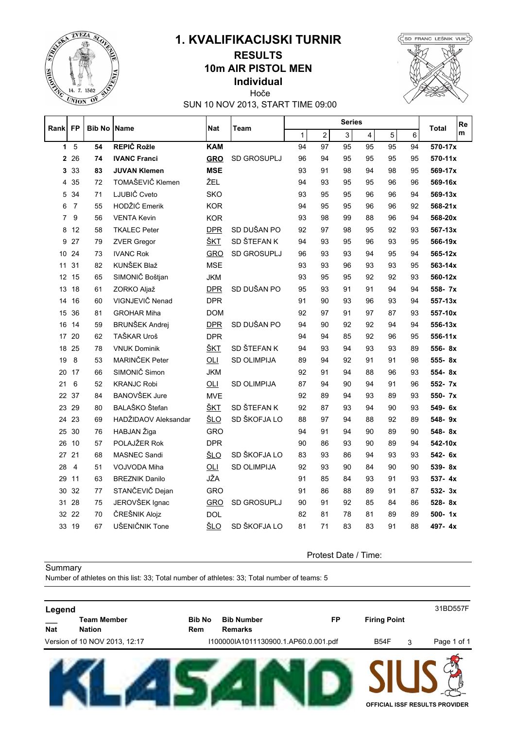

#### **Individual 10m AIR PISTOL MEN 1. KVALIFIKACIJSKI TURNIR RESULTS**



SUN 10 NOV 2013, START TIME 09:00 Hoče

| Rankl       | <b>FP</b>      | <b>Bib No IName</b> |                       | <b>Nat</b> | Team               |              |    | <b>Series</b> |                         |    |    | <b>Total</b> | Re |
|-------------|----------------|---------------------|-----------------------|------------|--------------------|--------------|----|---------------|-------------------------|----|----|--------------|----|
|             |                |                     |                       |            |                    | $\mathbf{1}$ | 2  | 3             | $\overline{\mathbf{4}}$ | 5  | 6  |              | m  |
| $\mathbf 1$ | 5              | 54                  | REPIČ Rožle           | <b>KAM</b> |                    | 94           | 97 | 95            | 95                      | 95 | 94 | 570-17x      |    |
| 2           | 26             | 74                  | <b>IVANC Franci</b>   | <b>GRO</b> | <b>SD GROSUPLJ</b> | 96           | 94 | 95            | 95                      | 95 | 95 | 570-11x      |    |
| 3           | 33             | 83                  | <b>JUVAN Klemen</b>   | <b>MSE</b> |                    | 93           | 91 | 98            | 94                      | 98 | 95 | 569-17x      |    |
| 4           | 35             | 72                  | TOMAŠEVIČ Klemen      | ŽEL        |                    | 94           | 93 | 95            | 95                      | 96 | 96 | 569-16x      |    |
| 5           | 34             | 71                  | LJUBIČ Cveto          | <b>SKO</b> |                    | 93           | 95 | 95            | 96                      | 96 | 94 | 569-13x      |    |
| 6           | $\overline{7}$ | 55                  | HODŽIĆ Emerik         | <b>KOR</b> |                    | 94           | 95 | 95            | 96                      | 96 | 92 | 568-21x      |    |
| 7           | 9              | 56                  | <b>VENTA Kevin</b>    | <b>KOR</b> |                    | 93           | 98 | 99            | 88                      | 96 | 94 | 568-20x      |    |
| 8           | 12             | 58                  | <b>TKALEC Peter</b>   | DPR        | SD DUŠAN PO        | 92           | 97 | 98            | 95                      | 92 | 93 | 567-13x      |    |
| 9           | 27             | 79                  | <b>ZVER Gregor</b>    | ŠKT        | SD ŠTEFAN K        | 94           | 93 | 95            | 96                      | 93 | 95 | 566-19x      |    |
| 10          | 24             | 73                  | <b>IVANC Rok</b>      | <b>GRO</b> | SD GROSUPLJ        | 96           | 93 | 93            | 94                      | 95 | 94 | 565-12x      |    |
| 11          | 31             | 82                  | KUNŠEK Blaž           | <b>MSE</b> |                    | 93           | 93 | 96            | 93                      | 93 | 95 | 563-14x      |    |
| 12          | 15             | 65                  | SIMONIČ Boštjan       | <b>JKM</b> |                    | 93           | 95 | 95            | 92                      | 92 | 93 | 560-12x      |    |
| 13          | 18             | 61                  | ZORKO Aljaž           | DPR        | SD DUŠAN PO        | 95           | 93 | 91            | 91                      | 94 | 94 | 558-7x       |    |
| 14          | 16             | 60                  | VIGNJEVIČ Nenad       | <b>DPR</b> |                    | 91           | 90 | 93            | 96                      | 93 | 94 | 557-13x      |    |
| 15          | 36             | 81                  | <b>GROHAR Miha</b>    | <b>DOM</b> |                    | 92           | 97 | 91            | 97                      | 87 | 93 | 557-10x      |    |
| 16          | 14             | 59                  | <b>BRUNŠEK Andrej</b> | <b>DPR</b> | SD DUŠAN PO        | 94           | 90 | 92            | 92                      | 94 | 94 | 556-13x      |    |
| 17          | 20             | 62                  | TAŠKAR Uroš           | <b>DPR</b> |                    | 94           | 94 | 85            | 92                      | 96 | 95 | 556-11x      |    |
| 18          | 25             | 78                  | <b>VNUK Dominik</b>   | <u>ŠKT</u> | SD ŠTEFAN K        | 94           | 93 | 94            | 93                      | 93 | 89 | 556-8x       |    |
| 19          | 8              | 53                  | MARINČEK Peter        | OLI        | <b>SD OLIMPIJA</b> | 89           | 94 | 92            | 91                      | 91 | 98 | $555 - 8x$   |    |
| 20          | 17             | 66                  | SIMONIČ Simon         | <b>JKM</b> |                    | 92           | 91 | 94            | 88                      | 96 | 93 | 554-8x       |    |
| 21          | 6              | 52                  | <b>KRANJC Robi</b>    | OLI        | <b>SD OLIMPIJA</b> | 87           | 94 | 90            | 94                      | 91 | 96 | 552- 7x      |    |
| 22          | 37             | 84                  | BANOVŠEK Jure         | <b>MVE</b> |                    | 92           | 89 | 94            | 93                      | 89 | 93 | 550- 7x      |    |
| 23          | 29             | 80                  | BALAŠKO Štefan        | <u>ŠKT</u> | SD ŠTEFAN K        | 92           | 87 | 93            | 94                      | 90 | 93 | 549-6x       |    |
| 24          | 23             | 69                  | HADŽIDAOV Aleksandar  | <u>ŠLO</u> | SD ŠKOFJA LO       | 88           | 97 | 94            | 88                      | 92 | 89 | 548-9x       |    |
| 25          | 30             | 76                  | HABJAN Žiga           | <b>GRO</b> |                    | 94           | 91 | 94            | 90                      | 89 | 90 | 548-8x       |    |
| 26          | 10             | 57                  | POLAJŽER Rok          | <b>DPR</b> |                    | 90           | 86 | 93            | 90                      | 89 | 94 | 542-10x      |    |
| 27          | 21             | 68                  | <b>MASNEC Sandi</b>   | <u>ŠLO</u> | SD ŠKOFJA LO       | 83           | 93 | 86            | 94                      | 93 | 93 | 542-6x       |    |
| 28          | $\overline{4}$ | 51                  | VOJVODA Miha          | $OL$       | <b>SD OLIMPIJA</b> | 92           | 93 | 90            | 84                      | 90 | 90 | 539-8x       |    |
| 29          | 11             | 63                  | <b>BREZNIK Danilo</b> | JŽA        |                    | 91           | 85 | 84            | 93                      | 91 | 93 | $537 - 4x$   |    |
| 30          | 32             | 77                  | STANČEVIČ Dejan       | <b>GRO</b> |                    | 91           | 86 | 88            | 89                      | 91 | 87 | $532 - 3x$   |    |
| 31          | 28             | 75                  | JEROVŠEK Ignac        | GRO        | <b>SD GROSUPLJ</b> | 90           | 91 | 92            | 85                      | 84 | 86 | 528-8x       |    |
| 32          | 22             | 70                  | ČREŠNIK Alojz         | <b>DOL</b> |                    | 82           | 81 | 78            | 81                      | 89 | 89 | $500 - 1x$   |    |
|             | 33 19          | 67                  | UŠENIČNIK Tone        | <u>ŠLO</u> | SD ŠKOFJA LO       | 81           | 71 | 83            | 83                      | 91 | 88 | 497-4x       |    |

#### **Summary**

Number of athletes on this list: 33; Total number of athletes: 33; Total number of teams: 5



Protest Date / Time: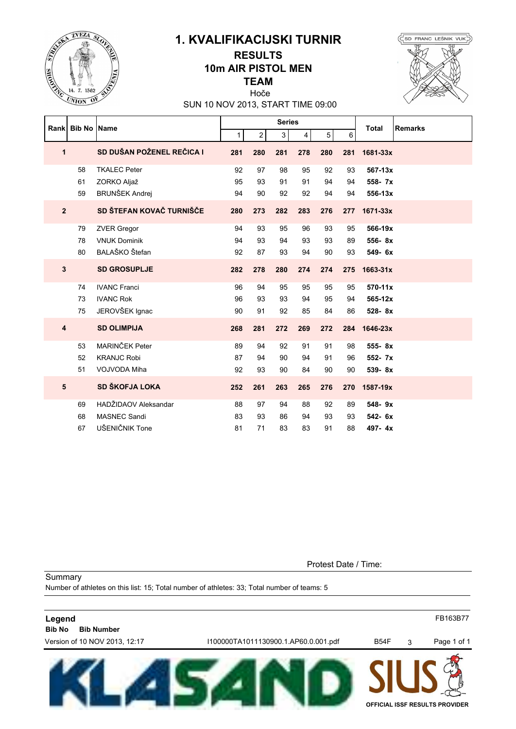

#### **1. KVALIFIKACIJSKI TURNIR RESULTS**

## **10m AIR PISTOL MEN**

**TEAM**



SD FRANC LEŠNIK VUK

SUN 10 NOV 2013, START TIME 09:00

| Rank           | <b>Bib No Name</b> |                           |              |                | <b>Series</b> |                |     |     | <b>Total</b> | <b>Remarks</b> |
|----------------|--------------------|---------------------------|--------------|----------------|---------------|----------------|-----|-----|--------------|----------------|
|                |                    |                           | $\mathbf{1}$ | $\overline{c}$ | 3             | $\overline{4}$ | 5   | 6   |              |                |
| 1              |                    | SD DUŠAN POŽENEL REČICA I | 281          | 280            | 281           | 278            | 280 | 281 | 1681-33x     |                |
|                | 58                 | <b>TKALEC Peter</b>       | 92           | 97             | 98            | 95             | 92  | 93  | 567-13x      |                |
|                | 61                 | ZORKO Aljaž               | 95           | 93             | 91            | 91             | 94  | 94  | 558-7x       |                |
|                | 59                 | <b>BRUNŠEK Andrej</b>     | 94           | 90             | 92            | 92             | 94  | 94  | 556-13x      |                |
| $\overline{2}$ |                    | SD ŠTEFAN KOVAČ TURNIŠČE  | 280          | 273            | 282           | 283            | 276 | 277 | 1671-33x     |                |
|                | 79                 | <b>ZVER Gregor</b>        | 94           | 93             | 95            | 96             | 93  | 95  | 566-19x      |                |
|                | 78                 | <b>VNUK Dominik</b>       | 94           | 93             | 94            | 93             | 93  | 89  | 556-8x       |                |
|                | 80                 | BALAŠKO Štefan            | 92           | 87             | 93            | 94             | 90  | 93  | 549-6x       |                |
| $\mathbf 3$    |                    | <b>SD GROSUPLJE</b>       | 282          | 278            | 280           | 274            | 274 | 275 | 1663-31x     |                |
|                | 74                 | <b>IVANC Franci</b>       | 96           | 94             | 95            | 95             | 95  | 95  | 570-11x      |                |
|                | 73                 | <b>IVANC Rok</b>          | 96           | 93             | 93            | 94             | 95  | 94  | 565-12x      |                |
|                | 75                 | JEROVŠEK Ignac            | 90           | 91             | 92            | 85             | 84  | 86  | 528-8x       |                |
| $\overline{4}$ |                    | <b>SD OLIMPIJA</b>        | 268          | 281            | 272           | 269            | 272 | 284 | 1646-23x     |                |
|                | 53                 | MARINČEK Peter            | 89           | 94             | 92            | 91             | 91  | 98  | 555-8x       |                |
|                | 52                 | <b>KRANJC Robi</b>        | 87           | 94             | 90            | 94             | 91  | 96  | 552- 7x      |                |
|                | 51                 | VOJVODA Miha              | 92           | 93             | 90            | 84             | 90  | 90  | 539-8x       |                |
| 5              |                    | <b>SD ŠKOFJA LOKA</b>     | 252          | 261            | 263           | 265            | 276 | 270 | 1587-19x     |                |
|                | 69                 | HADŽIDAOV Aleksandar      | 88           | 97             | 94            | 88             | 92  | 89  | 548-9x       |                |
|                | 68                 | <b>MASNEC Sandi</b>       | 83           | 93             | 86            | 94             | 93  | 93  | 542- 6x      |                |
|                | 67                 | UŠENIČNIK Tone            | 81           | 71             | 83            | 83             | 91  | 88  | 497-4x       |                |

Protest Date / Time:

**Summary** Number of athletes on this list: 15; Total number of athletes: 33; Total number of teams: 5

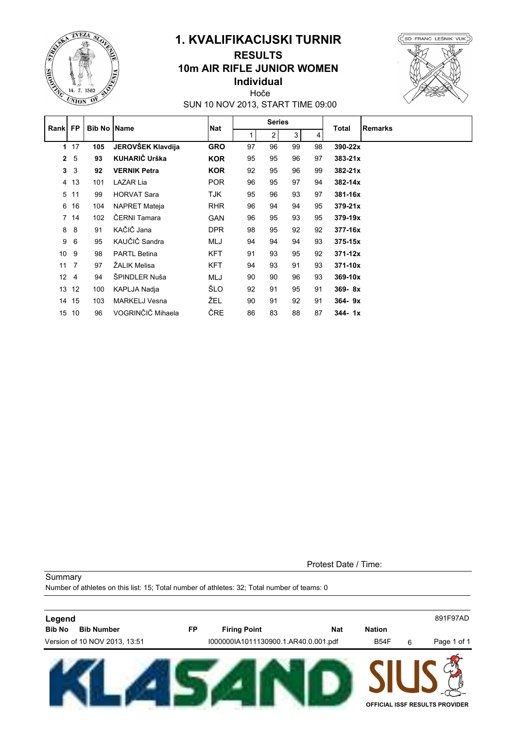

#### **Individual 10m AIR RIFLE JUNIOR WOMEN 1. KVALIFIKACIJSKI TURNIR RESULTS**



SUN 10 NOV 2013, START TIME 09:00 Hoče

| Rank            | <b>FP</b>       | <b>Bib No Name</b> |                      | <b>Nat</b> |    | <b>Series</b>  |    |    | Total       | <b>Remarks</b> |
|-----------------|-----------------|--------------------|----------------------|------------|----|----------------|----|----|-------------|----------------|
|                 |                 |                    |                      |            | 1  | $\overline{2}$ | 3  | 4  |             |                |
|                 | 117             | 105                | JEROVŠEK Klavdija    | <b>GRO</b> | 97 | 96             | 99 | 98 | 390-22x     |                |
| $\mathbf{2}$    | $5\phantom{.0}$ | 93                 | KUHARIČ Urška        | <b>KOR</b> | 95 | 95             | 96 | 97 | $383 - 21x$ |                |
| 3               | 3               | 92                 | <b>VERNIK Petra</b>  | <b>KOR</b> | 92 | 95             | 96 | 99 | $382 - 21x$ |                |
| 4               | 13              | 101                | LAZAR Lia            | <b>POR</b> | 96 | 95             | 97 | 94 | 382-14x     |                |
| 5               | 11              | 99                 | <b>HORVAT Sara</b>   | TJK        | 95 | 96             | 93 | 97 | 381-16x     |                |
| 6               | 16              | 104                | NAPRET Mateja        | <b>RHR</b> | 96 | 94             | 94 | 95 | $379 - 21x$ |                |
|                 | 7 14            | 102                | ČERNI Tamara         | GAN        | 96 | 95             | 93 | 95 | 379-19x     |                |
| 8               | 8               | 91                 | KAČIČ Jana           | <b>DPR</b> | 98 | 95             | 92 | 92 | 377-16x     |                |
| 9               | 6               | 95                 | KAUČIČ Sandra        | MLJ        | 94 | 94             | 94 | 93 | $375 - 15x$ |                |
| 10 <sup>1</sup> | 9               | 98                 | <b>PARTL Betina</b>  | <b>KFT</b> | 91 | 93             | 95 | 92 | $371 - 12x$ |                |
| 11              | $\overline{7}$  | 97                 | ŽALIK Melisa         | <b>KFT</b> | 94 | 93             | 91 | 93 | 371-10x     |                |
| 12 <sup>°</sup> | $\overline{4}$  | 94                 | ŠPINDLER Nuša        | <b>MLJ</b> | 90 | 90             | 96 | 93 | 369-10x     |                |
| 13 <sup>2</sup> | 12              | 100                | KAPLJA Nadja         | ŠLO        | 92 | 91             | 95 | 91 | $369 - 8x$  |                |
| 14              | 15              | 103                | <b>MARKELJ Vesna</b> | ŽEL        | 90 | 91             | 92 | 91 | $364 - 9x$  |                |
| 15              | 10              | 96                 | VOGRINČIČ Mihaela    | ČRE        | 86 | 83             | 88 | 87 | $344 - 1x$  |                |

Protest Date / Time:

**Summary** Number of athletes on this list: 15; Total number of athletes: 32; Total number of teams: 0

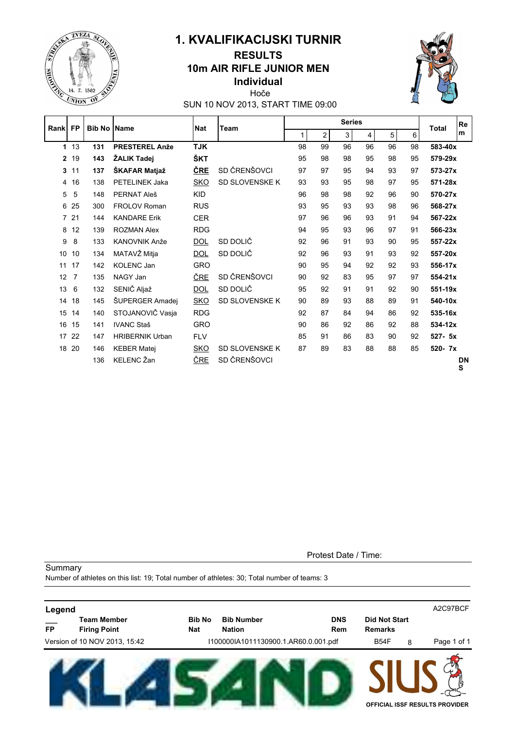

#### **Individual 10m AIR RIFLE JUNIOR MEN 1. KVALIFIKACIJSKI TURNIR RESULTS** Hoče



SUN 10 NOV 2013, START TIME 09:00

| <b>Rank</b>  | <b>FP</b>      | <b>Bib No</b> | <b>Name</b>            | <b>Nat</b> | Team                  |    |                | <b>Series</b> |    |    |    | <b>Total</b> | Re                  |
|--------------|----------------|---------------|------------------------|------------|-----------------------|----|----------------|---------------|----|----|----|--------------|---------------------|
|              |                |               |                        |            |                       | 1  | $\overline{2}$ | 3             | 4  | 5  | 6  |              | m                   |
| 1            | 13             | 131           | <b>PRESTEREL Anže</b>  | <b>TJK</b> |                       | 98 | 99             | 96            | 96 | 96 | 98 | 583-40x      |                     |
| $\mathbf{2}$ | 19             | 143           | ŽALIK Tadej            | ŠKT        |                       | 95 | 98             | 98            | 95 | 98 | 95 | 579-29x      |                     |
| 3            | 11             | 137           | ŠKAFAR Matjaž          | <u>ČRE</u> | SD ČRENŠOVCI          | 97 | 97             | 95            | 94 | 93 | 97 | 573-27x      |                     |
| 4            | 16             | 138           | PETELINEK Jaka         | <b>SKO</b> | <b>SD SLOVENSKE K</b> | 93 | 93             | 95            | 98 | 97 | 95 | 571-28x      |                     |
| 5            | 5              | 148           | PERNAT Aleš            | <b>KID</b> |                       | 96 | 98             | 98            | 92 | 96 | 90 | 570-27x      |                     |
| 6            | 25             | 300           | FROLOV Roman           | <b>RUS</b> |                       | 93 | 95             | 93            | 93 | 98 | 96 | 568-27x      |                     |
| 7            | 21             | 144           | <b>KANDARE Erik</b>    | <b>CER</b> |                       | 97 | 96             | 96            | 93 | 91 | 94 | 567-22x      |                     |
| 8            | 12             | 139           | <b>ROZMAN Alex</b>     | <b>RDG</b> |                       | 94 | 95             | 93            | 96 | 97 | 91 | 566-23x      |                     |
| 9            | 8              | 133           | KANOVNIK Anže          | <b>DOL</b> | SD DOLIČ              | 92 | 96             | 91            | 93 | 90 | 95 | 557-22x      |                     |
| 10           | 10             | 134           | MATAVŽ Mitja           | <b>DOL</b> | SD DOLIČ              | 92 | 96             | 93            | 91 | 93 | 92 | 557-20x      |                     |
| 11           | 17             | 142           | <b>KOLENC Jan</b>      | <b>GRO</b> |                       | 90 | 95             | 94            | 92 | 92 | 93 | 556-17x      |                     |
| 12           | $\overline{7}$ | 135           | NAGY Jan               | ČRE        | SD ČRENŠOVCI          | 90 | 92             | 83            | 95 | 97 | 97 | 554-21x      |                     |
| 13           | 6              | 132           | SENIČ Aljaž            | <b>DOL</b> | SD DOLIČ              | 95 | 92             | 91            | 91 | 92 | 90 | 551-19x      |                     |
| 14           | 18             | 145           | ŠUPERGER Amadej        | SKO        | SD SLOVENSKE K        | 90 | 89             | 93            | 88 | 89 | 91 | 540-10x      |                     |
| 15           | 14             | 140           | STOJANOVIČ Vasja       | <b>RDG</b> |                       | 92 | 87             | 84            | 94 | 86 | 92 | 535-16x      |                     |
| 16           | 15             | 141           | <b>IVANC Staš</b>      | <b>GRO</b> |                       | 90 | 86             | 92            | 86 | 92 | 88 | 534-12x      |                     |
| 17           | 22             | 147           | <b>HRIBERNIK Urban</b> | <b>FLV</b> |                       | 85 | 91             | 86            | 83 | 90 | 92 | 527- 5x      |                     |
| 18           | 20             | 146           | <b>KEBER Matej</b>     | <b>SKO</b> | <b>SD SLOVENSKE K</b> | 87 | 89             | 83            | 88 | 88 | 85 | 520-7x       |                     |
|              |                | 136           | KELENC Žan             | ČRE        | SD ČRENŠOVCI          |    |                |               |    |    |    |              | <b>DN</b><br>$\sim$ |

**S**

Protest Date / Time:

**Summary** 

Number of athletes on this list: 19; Total number of athletes: 30; Total number of teams: 3

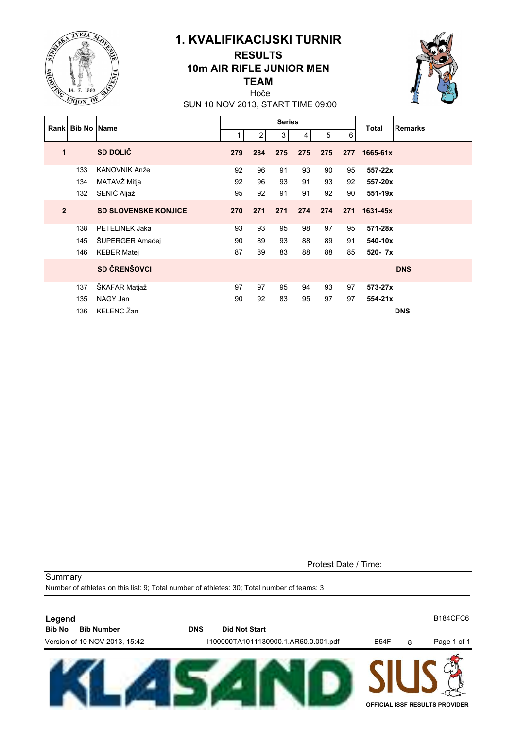

**TVEZA** 

UNION OF

#### **TEAM 10m AIR RIFLE JUNIOR MEN RESULTS**



SUN 10 NOV 2013, START TIME 09:00 Hoče

| Rankl          | <b>Bib No Name</b> |                             |     |                | <b>Series</b> |     |     |        | <b>Total</b> | <b>Remarks</b> |
|----------------|--------------------|-----------------------------|-----|----------------|---------------|-----|-----|--------|--------------|----------------|
|                |                    |                             | 1   | $\overline{2}$ | 3             | 4   | 5   | $6 \,$ |              |                |
| 1              |                    | SD DOLIČ                    | 279 | 284            | 275           | 275 | 275 | 277    | 1665-61x     |                |
|                | 133                | KANOVNIK Anže               | 92  | 96             | 91            | 93  | 90  | 95     | 557-22x      |                |
|                | 134                | MATAVŽ Mitja                | 92  | 96             | 93            | 91  | 93  | 92     | 557-20x      |                |
|                | 132                | SENIČ Aljaž                 | 95  | 92             | 91            | 91  | 92  | 90     | 551-19x      |                |
| $\overline{2}$ |                    | <b>SD SLOVENSKE KONJICE</b> | 270 | 271            | 271           | 274 | 274 | 271    | 1631-45x     |                |
|                | 138                | <b>PETELINEK Jaka</b>       | 93  | 93             | 95            | 98  | 97  | 95     | 571-28x      |                |
|                | 145                | ŠUPERGER Amadej             | 90  | 89             | 93            | 88  | 89  | 91     | 540-10x      |                |
|                | 146                | <b>KEBER Matej</b>          | 87  | 89             | 83            | 88  | 88  | 85     | 520-7x       |                |
|                |                    | <b>SD ČRENŠOVCI</b>         |     |                |               |     |     |        |              | <b>DNS</b>     |
|                | 137                | ŠKAFAR Matjaž               | 97  | 97             | 95            | 94  | 93  | 97     | 573-27x      |                |
|                | 135                | NAGY Jan                    | 90  | 92             | 83            | 95  | 97  | 97     | $554 - 21x$  |                |
|                | 136                | KELENC Žan                  |     |                |               |     |     |        |              | <b>DNS</b>     |

Protest Date / Time:

**Summary** Number of athletes on this list: 9; Total number of athletes: 30; Total number of teams: 3

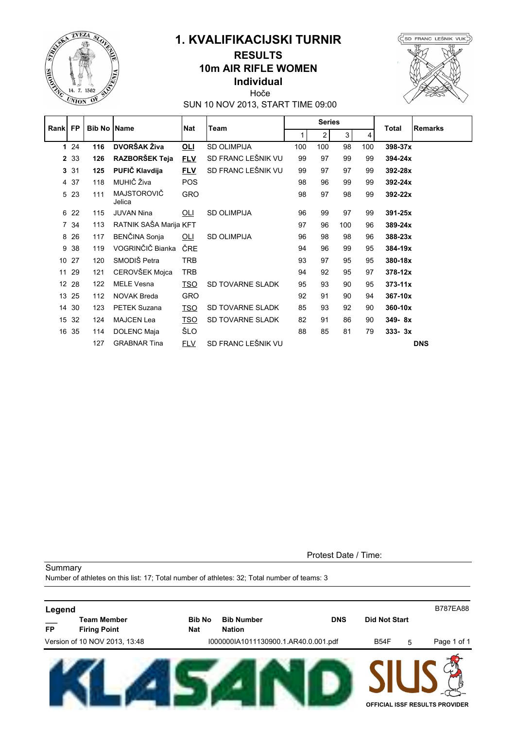

### **1. KVALIFIKACIJSKI TURNIR RESULTS**

### **10m AIR RIFLE WOMEN**

**Individual** Hoče



SUN 10 NOV 2013, START TIME 09:00

| Rank FP      |      | <b>Bib No IName</b> |                              | <b>Nat</b> | Team                    |     | <b>Series</b>  |                |     | <b>Total</b><br><b>Remarks</b> |
|--------------|------|---------------------|------------------------------|------------|-------------------------|-----|----------------|----------------|-----|--------------------------------|
|              |      |                     |                              |            |                         | 1   | $\overline{2}$ | 3 <sup>1</sup> | 4   |                                |
|              | 124  | 116                 | <b>DVORŠAK Živa</b>          | $OL$       | <b>SD OLIMPIJA</b>      | 100 | 100            | 98             | 100 | 398-37x                        |
| $\mathbf{2}$ | 33   | 126                 | RAZBORŠEK Teja               | <b>FLV</b> | SD FRANC LEŠNIK VU      | 99  | 97             | 99             | 99  | 394-24x                        |
| 3            | 31   | 125                 | PUFIČ Klavdija               | <b>FLV</b> | SD FRANC LEŠNIK VU      | 99  | 97             | 97             | 99  | 392-28x                        |
| 4            | 37   | 118                 | MUHIČ Živa                   | <b>POS</b> |                         | 98  | 96             | 99             | 99  | 392-24x                        |
| 5            | 23   | 111                 | <b>MAJSTOROVIČ</b><br>Jelica | <b>GRO</b> |                         | 98  | 97             | 98             | 99  | 392-22x                        |
| 6            | 22   | 115                 | <b>JUVAN Nina</b>            | <u>OLI</u> | <b>SD OLIMPIJA</b>      | 96  | 99             | 97             | 99  | 391-25x                        |
|              | 7 34 | 113                 | RATNIK SAŠA Marija KFT       |            |                         | 97  | 96             | 100            | 96  | 389-24x                        |
| 8            | 26   | 117                 | BENČINA Sonja                | OLI        | <b>SD OLIMPIJA</b>      | 96  | 98             | 98             | 96  | 388-23x                        |
| 9            | 38   | 119                 | VOGRINČIČ Bianka             | ČRE        |                         | 94  | 96             | 99             | 95  | 384-19x                        |
| 10           | 27   | 120                 | SMODIŠ Petra                 | <b>TRB</b> |                         | 93  | 97             | 95             | 95  | 380-18x                        |
| 11           | 29   | 121                 | CEROVŠEK Mojca               | <b>TRB</b> |                         | 94  | 92             | 95             | 97  | $378 - 12x$                    |
| 12           | 28   | 122                 | <b>MELE Vesna</b>            | <u>TSO</u> | <b>SD TOVARNE SLADK</b> | 95  | 93             | 90             | 95  | $373 - 11x$                    |
| 13           | 25   | 112                 | <b>NOVAK Breda</b>           | GRO        |                         | 92  | 91             | 90             | 94  | 367-10x                        |
| 14           | 30   | 123                 | <b>PETEK Suzana</b>          | <b>TSO</b> | SD TOVARNE SLADK        | 85  | 93             | 92             | 90  | 360-10x                        |
| 15           | 32   | 124                 | <b>MAJCEN Lea</b>            | <b>TSO</b> | <b>SD TOVARNE SLADK</b> | 82  | 91             | 86             | 90  | $349 - 8x$                     |
| 16           | 35   | 114                 | DOLENC Maja                  | ŠLO        |                         | 88  | 85             | 81             | 79  | $333 - 3x$                     |
|              |      | 127                 | <b>GRABNAR Tina</b>          | <b>FLV</b> | SD FRANC LEŠNIK VU      |     |                |                |     | <b>DNS</b>                     |

Protest Date / Time:

**Summary** 

Number of athletes on this list: 17; Total number of athletes: 32; Total number of teams: 3

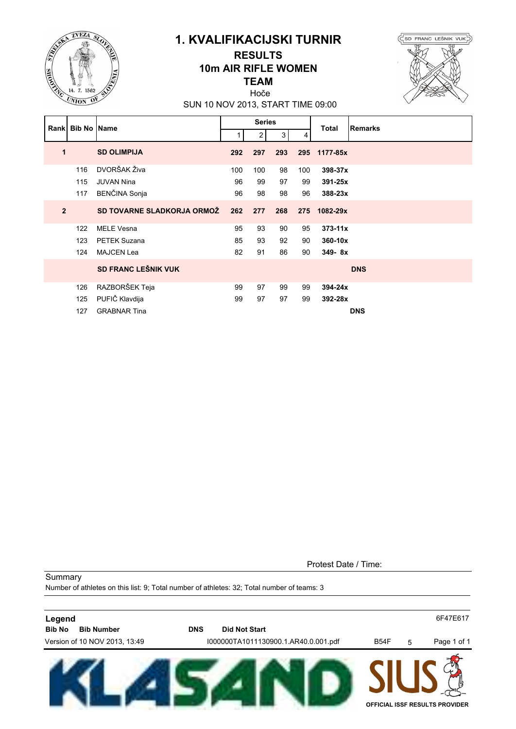

### **1. KVALIFIKACIJSKI TURNIR**

#### **10m AIR RIFLE WOMEN RESULTS**

#### **TEAM**

Hoče



SUN 10 NOV 2013, START TIME 09:00

|                | Rank Bib No Name |                            |     | <b>Series</b>  |                |     | <b>Total</b> | <b>Remarks</b> |
|----------------|------------------|----------------------------|-----|----------------|----------------|-----|--------------|----------------|
|                |                  |                            | 1   | $\overline{2}$ | 3 <sup>1</sup> | 4   |              |                |
| 1              |                  | <b>SD OLIMPIJA</b>         | 292 | 297            | 293            |     | 295 1177-85x |                |
|                | 116              | DVORŠAK Živa               | 100 | 100            | 98             | 100 | 398-37x      |                |
|                | 115              | <b>JUVAN Nina</b>          | 96  | 99             | 97             | 99  | 391-25x      |                |
|                | 117              | BENČINA Sonja              | 96  | 98             | 98             | 96  | 388-23x      |                |
| $\overline{2}$ |                  | SD TOVARNE SLADKORJA ORMOŽ | 262 | 277            | 268            | 275 | 1082-29x     |                |
|                | 122              | <b>MELE Vesna</b>          | 95  | 93             | 90             | 95  | $373 - 11x$  |                |
|                | 123              | <b>PETEK Suzana</b>        | 85  | 93             | 92             | 90  | 360-10x      |                |
|                | 124              | MAJCEN Lea                 | 82  | 91             | 86             | 90  | 349-8x       |                |
|                |                  | <b>SD FRANC LEŠNIK VUK</b> |     |                |                |     |              | <b>DNS</b>     |
|                | 126              | RAZBORŠEK Teja             | 99  | 97             | 99             | 99  | 394-24x      |                |
|                | 125              | PUFIČ Klavdija             | 99  | 97             | 97             | 99  | 392-28x      |                |
|                | 127              | <b>GRABNAR Tina</b>        |     |                |                |     |              | <b>DNS</b>     |

Protest Date / Time:

**Summary** Number of athletes on this list: 9; Total number of athletes: 32; Total number of teams: 3

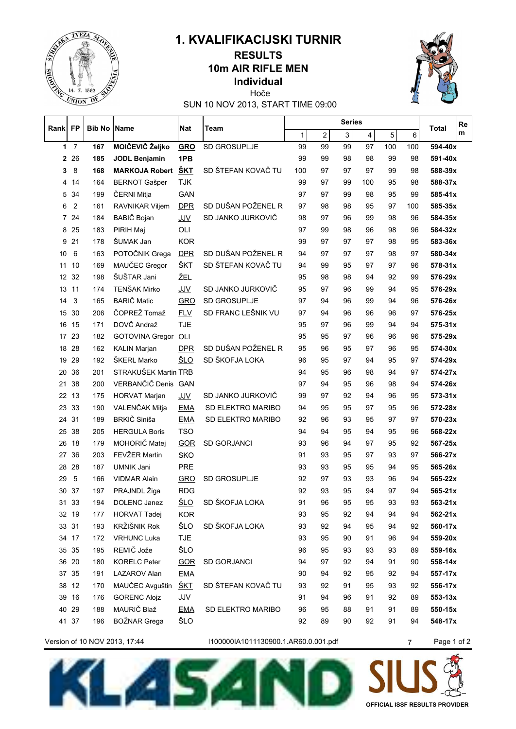

#### **Individual 10m AIR RIFLE MEN 1. KVALIFIKACIJSKI TURNIR RESULTS** Hoče



SUN 10 NOV 2013, START TIME 09:00

| <b>Rank</b> | FP             | <b>Bib No   Name</b> |                      | Nat        | Team               | <b>Series</b> |                |                |     | Re<br><b>Total</b> |         |         |
|-------------|----------------|----------------------|----------------------|------------|--------------------|---------------|----------------|----------------|-----|--------------------|---------|---------|
|             |                |                      |                      |            |                    | $\mathbf{1}$  | $\overline{2}$ | $\mathfrak{S}$ | 4   | 5                  | $\,6\,$ | m       |
| 1           | $\overline{7}$ | 167                  | MOIČEVIČ Željko      | <b>GRO</b> | SD GROSUPLJE       | 99            | 99             | 99             | 97  | 100                | 100     | 594-40x |
| 2           | 26             | 185                  | <b>JODL Benjamin</b> | 1PB        |                    | 99            | 99             | 98             | 98  | 99                 | 98      | 591-40x |
| 3           | 8              | 168                  | MARKOJA Robert ŠKT   |            | SD ŠTEFAN KOVAČ TU | 100           | 97             | 97             | 97  | 99                 | 98      | 588-39x |
| 4           | 14             | 164                  | <b>BERNOT Gašper</b> | <b>TJK</b> |                    | 99            | 97             | 99             | 100 | 95                 | 98      | 588-37x |
| 5           | 34             | 199                  | ČERNI Mitja          | GAN        |                    | 97            | 97             | 99             | 98  | 95                 | 99      | 585-41x |
| 6           | 2              | 161                  | RAVNIKAR Viljem      | <b>DPR</b> | SD DUŠAN POŽENEL R | 97            | 98             | 98             | 95  | 97                 | 100     | 585-35x |
| 7           | 24             | 184                  | BABIČ Bojan          | JJV        | SD JANKO JURKOVIČ  | 98            | 97             | 96             | 99  | 98                 | 96      | 584-35x |
| 8           | 25             | 183                  | PIRIH Maj            | OLI        |                    | 97            | 99             | 98             | 96  | 98                 | 96      | 584-32x |
| 9           | 21             | 178                  | ŠUMAK Jan            | <b>KOR</b> |                    | 99            | 97             | 97             | 97  | 98                 | 95      | 583-36x |
| 10          | 6              | 163                  | POTOČNIK Grega       | <b>DPR</b> | SD DUŠAN POŽENEL R | 94            | 97             | 97             | 97  | 98                 | 97      | 580-34x |
| 11          | 10             | 169                  | MAUČEC Gregor        | <u>ŠKT</u> | SD ŠTEFAN KOVAČ TU | 94            | 99             | 95             | 97  | 97                 | 96      | 578-31x |
| 12          | 32             | 198                  | ŠUŠTAR Jani          | ŽEL        |                    | 95            | 98             | 98             | 94  | 92                 | 99      | 576-29x |
| 13          | 11             | 174                  | TENŠAK Mirko         | JJV        | SD JANKO JURKOVIČ  | 95            | 97             | 96             | 99  | 94                 | 95      | 576-29x |
| 14          | 3              | 165                  | <b>BARIČ Matic</b>   | <b>GRO</b> | SD GROSUPLJE       | 97            | 94             | 96             | 99  | 94                 | 96      | 576-26x |
| 15          | 30             | 206                  | ČOPREŽ Tomaž         | <b>FLV</b> | SD FRANC LEŠNIK VU | 97            | 94             | 96             | 96  | 96                 | 97      | 576-25x |
| 16          | 15             | 171                  | DOVČ Andraž          | <b>TJE</b> |                    | 95            | 97             | 96             | 99  | 94                 | 94      | 575-31x |
| 17          | 23             | 182                  | GOTOVINA Gregor OLI  |            |                    | 95            | 95             | 97             | 96  | 96                 | 96      | 575-29x |
| 18          | 28             | 162                  | <b>KALIN Marjan</b>  | <b>DPR</b> | SD DUŠAN POŽENEL R | 95            | 96             | 95             | 97  | 96                 | 95      | 574-30x |
| 19          | 29             | 192                  | ŠKERL Marko          | <u>ŠLO</u> | SD ŠKOFJA LOKA     | 96            | 95             | 97             | 94  | 95                 | 97      | 574-29x |
| 20          | 36             | 201                  | STRAKUŠEK Martin TRB |            |                    | 94            | 95             | 96             | 98  | 94                 | 97      | 574-27x |
| 21          | 38             | 200                  | VERBANČIČ Denis GAN  |            |                    | 97            | 94             | 95             | 96  | 98                 | 94      | 574-26x |
| 22          | 13             | 175                  | HORVAT Marjan        | JJV        | SD JANKO JURKOVIČ  | 99            | 97             | 92             | 94  | 96                 | 95      | 573-31x |
| 23          | 33             | 190                  | VALENČAK Mitja       | <b>EMA</b> | SD ELEKTRO MARIBO  | 94            | 95             | 95             | 97  | 95                 | 96      | 572-28x |
| 24          | 31             | 189                  | <b>BRKIČ</b> Siniša  | <b>EMA</b> | SD ELEKTRO MARIBO  | 92            | 96             | 93             | 95  | 97                 | 97      | 570-23x |
| 25          | 38             | 205                  | <b>HERGULA Boris</b> | <b>TSO</b> |                    | 94            | 94             | 95             | 94  | 95                 | 96      | 568-22x |
| 26          | 18             | 179                  | MOHORIČ Matej        | GOR        | <b>SD GORJANCI</b> | 93            | 96             | 94             | 97  | 95                 | 92      | 567-25x |
| 27          | 36             | 203                  | FEVŽER Martin        | <b>SKO</b> |                    | 91            | 93             | 95             | 97  | 93                 | 97      | 566-27x |
| 28          | 28             | 187                  | <b>UMNIK Jani</b>    | <b>PRE</b> |                    | 93            | 93             | 95             | 95  | 94                 | 95      | 565-26x |
| 29          | 5              | 166                  | <b>VIDMAR Alain</b>  | <b>GRO</b> | SD GROSUPLJE       | 92            | 97             | 93             | 93  | 96                 | 94      | 565-22x |
| 30          | 37             | 197                  | PRAJNDL Žiga         | <b>RDG</b> |                    | 92            | 93             | 95             | 94  | 97                 | 94      | 565-21x |
| 31          | 33             | 194                  | DOLENC Janez         | <u>ŠLO</u> | SD ŠKOFJA LOKA     | 91            | 96             | 95             | 95  | 93                 | 93      | 563-21x |
|             | 32 19          | 177                  | <b>HORVAT Tadej</b>  | <b>KOR</b> |                    | 93            | 95             | 92             | 94  | 94                 | 94      | 562-21x |
|             | 33 31          | 193                  | KRŽIŠNIK Rok         | <u>ŠLO</u> | SD ŠKOFJA LOKA     | 93            | 92             | 94             | 95  | 94                 | 92      | 560-17x |
|             | 34 17          | 172                  | <b>VRHUNC Luka</b>   | <b>TJE</b> |                    | 93            | 95             | 90             | 91  | 96                 | 94      | 559-20x |
|             | 35 35          | 195                  | REMIČ Jože           | ŠLO        |                    | 96            | 95             | 93             | 93  | 93                 | 89      | 559-16x |
|             | 36 20          | 180                  | <b>KORELC Peter</b>  | <b>GOR</b> | SD GORJANCI        | 94            | 97             | 92             | 94  | 91                 | 90      | 558-14x |
|             | 37 35          | 191                  | LAZAROV Alan         | <b>EMA</b> |                    | 90            | 94             | 92             | 95  | 92                 | 94      | 557-17x |
|             | 38 12          | 170                  | MAUČEC Avguštin      | <u>ŠKT</u> | SD ŠTEFAN KOVAČ TU | 93            | 92             | 91             | 95  | 93                 | 92      | 556-17x |
|             | 39 16          | 176                  | <b>GORENC Alojz</b>  | JJV        |                    | 91            | 94             | 96             | 91  | 92                 | 89      | 553-13x |
|             | 40 29          | 188                  | MAURIČ Blaž          | <b>EMA</b> | SD ELEKTRO MARIBO  | 96            | 95             | 88             | 91  | 91                 | 89      | 550-15x |
|             | 41 37          | 196                  | BOŽNAR Grega         | ŠLO        |                    | 92            | 89             | 90             | 92  | 91                 | 94      | 548-17x |
|             |                |                      |                      |            |                    |               |                |                |     |                    |         |         |

Version of 10 NOV 2013, 17:44 I100000IA1011130900.1.AR60.0.001.pdf 7 Page 1 of 2



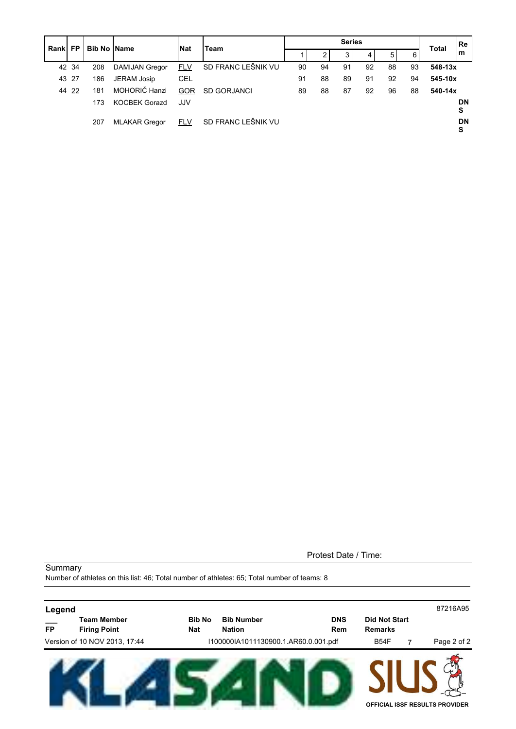| <b>Rank</b> | <b>FP</b> | <b>Bib No IName</b> |                      | <b>Nat</b> | <b>Feam</b>        |    |                |    | lRe |             |    |              |                |
|-------------|-----------|---------------------|----------------------|------------|--------------------|----|----------------|----|-----|-------------|----|--------------|----------------|
|             |           |                     |                      |            |                    |    | $\overline{2}$ |    | 4   | $5^{\circ}$ | 6  | <b>Total</b> | m              |
|             | 42 34     | 208                 | DAMIJAN Gregor       | <b>FLV</b> | SD FRANC LEŠNIK VU | 90 | 94             | 91 | 92  | 88          | 93 | 548-13x      |                |
|             | 43 27     | 186                 | JERAM Josip          | CEL        |                    | 91 | 88             | 89 | 91  | 92          | 94 | 545-10x      |                |
|             | 44 22     | 181                 | MOHORIČ Hanzi        | <b>GOR</b> | <b>SD GORJANCI</b> | 89 | 88             | 87 | 92  | 96          | 88 | 540-14x      |                |
|             |           | 173                 | KOCBEK Gorazd        | JJV        |                    |    |                |    |     |             |    |              | <b>DN</b><br>S |
|             |           | 207                 | <b>MLAKAR Gregor</b> | <b>FLV</b> | SD FRANC LEŠNIK VU |    |                |    |     |             |    |              | <b>DN</b><br>s |

Protest Date / Time:

**Summary** 

Number of athletes on this list: 46; Total number of athletes: 65; Total number of teams: 8